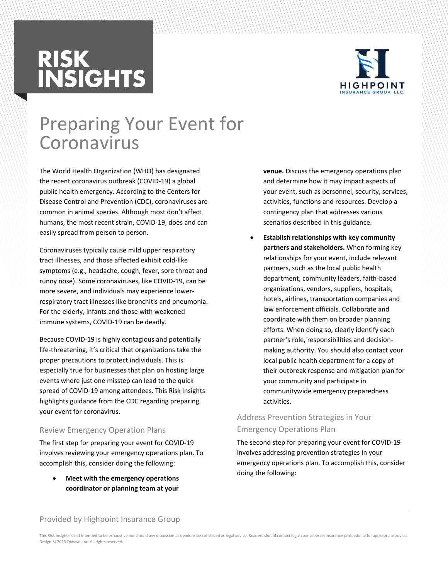# **RISK<br>INSIGHTS**



### Preparing Your Event for Coronavirus

The World Health Organization (WHO) has designated the recent coronavirus outbreak (COVID-19) a global public health emergency. According to the Centers for Disease Control and Prevention (CDC), coronaviruses are common in animal species. Although most don't affect humans, the most recent strain, COVID-19, does and can easily spread from person to person.

Coronaviruses typically cause mild upper respiratory tract illnesses, and those affected exhibit cold-like symptoms (e.g., headache, cough, fever, sore throat and runny nose). Some coronaviruses, like COVID-19, can be more severe, and individuals may experience lowerrespiratory tract illnesses like bronchitis and pneumonia. For the elderly, infants and those with weakened immune systems, COVID-19 can be deadly.

Because COVID-19 is highly contagious and potentially life-threatening, it's critical that organizations take the proper precautions to protect individuals. This is especially true for businesses that plan on hosting large events where just one misstep can lead to the quick spread of COVID-19 among attendees. This Risk Insights highlights guidance from the CDC regarding preparing your event for coronavirus.

#### Review Emergency Operation Plans

The first step for preparing your event for COVID-19 involves reviewing your emergency operations plan. To accomplish this, consider doing the following:

 **Meet with the emergency operations coordinator or planning team at your**  **venue.** Discuss the emergency operations plan and determine how it may impact aspects of your event, such as personnel, security, services, activities, functions and resources. Develop a contingency plan that addresses various scenarios described in this guidance.

 **Establish relationships with key community partners and stakeholders.** When forming key relationships for your event, include relevant partners, such as the local public health department, community leaders, faith-based organizations, vendors, suppliers, hospitals, hotels, airlines, transportation companies and law enforcement officials. Collaborate and coordinate with them on broader planning efforts. When doing so, clearly identify each partner's role, responsibilities and decisionmaking authority. You should also contact your local public health department for a copy of their outbreak response and mitigation plan for your community and participate in communitywide emergency preparedness activities.

#### Address Prevention Strategies in Your Emergency Operations Plan

The second step for preparing your event for COVID-19 involves addressing prevention strategies in your emergency operations plan. To accomplish this, consider doing the following:

#### Provided by Highpoint Insurance Group

This Risk Insights is not intended to be exhaustive nor should any discussion or opinions be construed as legal advice. Readers should contact legal counsel or an insurance professional for appropriate advice. Design © 2020 Zywave, Inc. All rights reserved.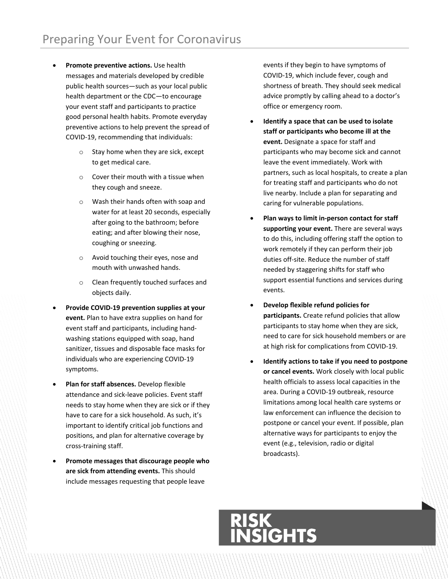- **Promote preventive actions.** Use health messages and materials developed by credible public health sources—such as your local public health department or the CDC—to encourage your event staff and participants to practice good personal health habits. Promote [everyday](https://www.cdc.gov/coronavirus/2019-ncov/about/prevention-treatment.html)  [preventive actions](https://www.cdc.gov/coronavirus/2019-ncov/about/prevention-treatment.html) to help prevent the spread of COVID-19, recommending that individuals:
	- o Stay home when they are sick, except to get medical care.
	- o Cover their mouth with a tissue when they cough and sneeze.
	- o Wash their hands often with soap and water for at least 20 seconds, especially after going to the bathroom; before eating; and after blowing their nose, coughing or sneezing.
	- o Avoid touching their eyes, nose and mouth with unwashed hands.
	- o Clean frequently touched surfaces and objects daily.
- **Provide COVID-19 prevention supplies at your event.** Plan to have extra supplies on hand for event staff and participants, including handwashing stations equipped with soap, hand sanitizer, tissues and disposable face masks for individuals who are experiencing COVID-19 symptoms.
- **Plan for staff absences.** Develop flexible attendance and sick-leave policies. Event staff needs to stay home when they are sick or if they have to care for a sick household. As such, it's important to identify critical job functions and positions, and plan for alternative coverage by cross-training staff.
- **Promote messages that discourage people who are sick from attending events.** This should include messages requesting that people leave

events if they begin to have symptoms of COVID-19, which include fever, cough and shortness of breath. They should seek medical advice promptly by calling ahead to a doctor's office or emergency room.

- **Identify a space that can be used to isolate staff or participants who become ill at the event.** Designate a space for staff and participants who may become sick and cannot leave the event immediately. Work with partners, such as local hospitals, to create a plan for treating staff and participants who do not live nearby. Include a plan for separating and caring for vulnerable populations.
- **Plan ways to limit in-person contact for staff supporting your event.** There are several ways to do this, including offering staff the option to work remotely if they can perform their job duties off-site. Reduce the number of staff needed by staggering shifts for staff who support essential functions and services during events.
- **Develop flexible refund policies for participants.** Create refund policies that allow participants to stay home when they are sick, need to care for sick household members or are at high risk for complications from COVID-19.
- **Identify actions to take if you need to postpone or cancel events.** Work closely with local public health officials to assess local capacities in the area. During a COVID-19 outbreak, resource limitations among local health care systems or law enforcement can influence the decision to postpone or cancel your event. If possible, plan alternative ways for participants to enjoy the event (e.g., television, radio or digital broadcasts).

## **N<br>IGHTS**